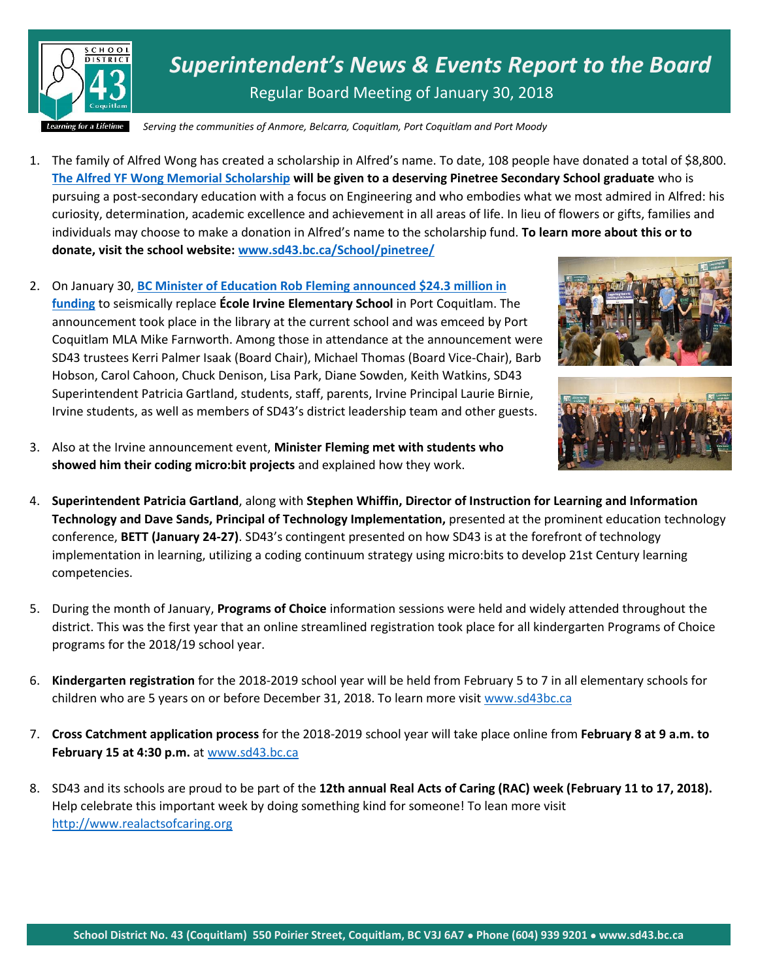

*Superintendent's News & Events Report to the Board* Regular Board Meeting of January 30, 2018

*Serving the communities of Anmore, Belcarra, Coquitlam, Port Coquitlam and Port Moody*

- 1. The family of Alfred Wong has created a scholarship in Alfred's name. To date, 108 people have donated a total of \$8,800. **[The Alfred YF Wong Memorial Scholarship](http://www.sd43.bc.ca/School/pinetree/Pages/default.aspx#e23d4aa0-5b3f-485f-8b50-e7f5eb10a04437) will be given to a deserving Pinetree Secondary School graduate** who is pursuing a post-secondary education with a focus on Engineering and who embodies what we most admired in Alfred: his curiosity, determination, academic excellence and achievement in all areas of life. In lieu of flowers or gifts, families and individuals may choose to make a donation in Alfred's name to the scholarship fund. **To learn more about this or to donate, visit the school website: [www.sd43.bc.ca/School/pinetree/](http://www.sd43.bc.ca/School/pinetree/)**
- 2. On January 30, **[BC Minister of Education Rob Fleming announced \\$24.3](http://www.sd43.bc.ca/Pages/newsitem.aspx?ItemID=420&ListID=ed550773-e9ff-4e20-9964-4e1b213f518c&TemplateID=Announcement_Item) million in [funding](http://www.sd43.bc.ca/Pages/newsitem.aspx?ItemID=420&ListID=ed550773-e9ff-4e20-9964-4e1b213f518c&TemplateID=Announcement_Item)** to seismically replace **École Irvine Elementary School** in Port Coquitlam. The announcement took place in the library at the current school and was emceed by Port Coquitlam MLA Mike Farnworth. Among those in attendance at the announcement were SD43 trustees Kerri Palmer Isaak (Board Chair), Michael Thomas (Board Vice-Chair), Barb Hobson, Carol Cahoon, Chuck Denison, Lisa Park, Diane Sowden, Keith Watkins, SD43 Superintendent Patricia Gartland, students, staff, parents, Irvine Principal Laurie Birnie, Irvine students, as well as members of SD43's district leadership team and other guests.





- 3. Also at the Irvine announcement event, **Minister Fleming met with students who showed him their coding micro:bit projects** and explained how they work.
- 4. **Superintendent Patricia Gartland**, along with **Stephen Whiffin, Director of Instruction for Learning and Information Technology and Dave Sands, Principal of Technology Implementation,** presented at the prominent education technology conference, **BETT (January 24-27)**. SD43's contingent presented on how SD43 is at the forefront of technology implementation in learning, utilizing a coding continuum strategy using micro:bits to develop 21st Century learning competencies.
- 5. During the month of January, **Programs of Choice** information sessions were held and widely attended throughout the district. This was the first year that an online streamlined registration took place for all kindergarten Programs of Choice programs for the 2018/19 school year.
- 6. **Kindergarten registration** for the 2018-2019 school year will be held from February 5 to 7 in all elementary schools for children who are 5 years on or before December 31, 2018. To learn more visit [www.sd43bc.ca](http://www.sd43bc.ca/)
- 7. **Cross Catchment application process** for the 2018-2019 school year will take place online from **February 8 at 9 a.m. to February 15 at 4:30 p.m.** a[t www.sd43.bc.ca](http://www.sd43.bc.ca/)
- 8. SD43 and its schools are proud to be part of the **12th annual Real Acts of Caring (RAC) week (February 11 to 17, 2018).**  Help celebrate this important week by doing something kind for someone! To lean more visit [http://www.realactsofcaring.org](http://www.realactsofcaring.org/)